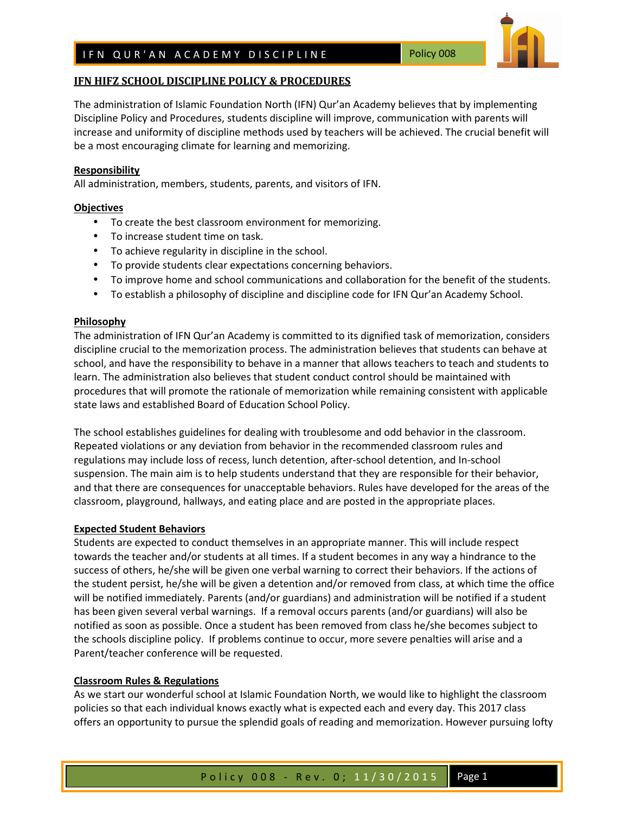# **IFN HIFZ SCHOOL DISCIPLINE POLICY & PROCEDURES**

The administration of Islamic Foundation North (IFN) Qur'an Academy believes that by implementing Discipline Policy and Procedures, students discipline will improve, communication with parents will increase and uniformity of discipline methods used by teachers will be achieved. The crucial benefit will be a most encouraging climate for learning and memorizing.

### **Responsibility**

All administration, members, students, parents, and visitors of IFN.

### **Objectives**

- To create the best classroom environment for memorizing.
- To increase student time on task.
- To achieve regularity in discipline in the school.
- To provide students clear expectations concerning behaviors.
- To improve home and school communications and collaboration for the benefit of the students.
- To establish a philosophy of discipline and discipline code for IFN Qur'an Academy School.

### **Philosophy**

The administration of IFN Qur'an Academy is committed to its dignified task of memorization, considers discipline crucial to the memorization process. The administration believes that students can behave at school, and have the responsibility to behave in a manner that allows teachers to teach and students to learn. The administration also believes that student conduct control should be maintained with procedures that will promote the rationale of memorization while remaining consistent with applicable state laws and established Board of Education School Policy.

The school establishes guidelines for dealing with troublesome and odd behavior in the classroom. Repeated violations or any deviation from behavior in the recommended classroom rules and regulations may include loss of recess, lunch detention, after-school detention, and In-school suspension. The main aim is to help students understand that they are responsible for their behavior, and that there are consequences for unacceptable behaviors. Rules have developed for the areas of the classroom, playground, hallways, and eating place and are posted in the appropriate places.

### **Expected Student Behaviors**

Students are expected to conduct themselves in an appropriate manner. This will include respect towards the teacher and/or students at all times. If a student becomes in any way a hindrance to the success of others, he/she will be given one verbal warning to correct their behaviors. If the actions of the student persist, he/she will be given a detention and/or removed from class, at which time the office will be notified immediately. Parents (and/or guardians) and administration will be notified if a student has been given several verbal warnings. If a removal occurs parents (and/or guardians) will also be notified as soon as possible. Once a student has been removed from class he/she becomes subject to the schools discipline policy. If problems continue to occur, more severe penalties will arise and a Parent/teacher conference will be requested.

### **Classroom Rules & Regulations**

As we start our wonderful school at Islamic Foundation North, we would like to highlight the classroom policies so that each individual knows exactly what is expected each and every day. This 2017 class offers an opportunity to pursue the splendid goals of reading and memorization. However pursuing lofty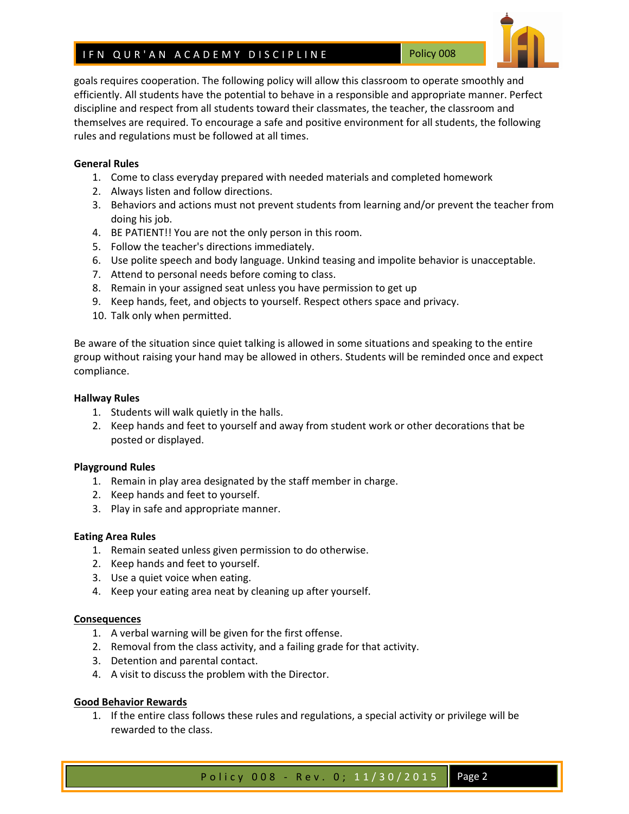goals requires cooperation. The following policy will allow this classroom to operate smoothly and efficiently. All students have the potential to behave in a responsible and appropriate manner. Perfect discipline and respect from all students toward their classmates, the teacher, the classroom and themselves are required. To encourage a safe and positive environment for all students, the following rules and regulations must be followed at all times.

# **General Rules**

- 1. Come to class everyday prepared with needed materials and completed homework
- 2. Always listen and follow directions.
- 3. Behaviors and actions must not prevent students from learning and/or prevent the teacher from doing his job.
- 4. BE PATIENT!! You are not the only person in this room.
- 5. Follow the teacher's directions immediately.
- 6. Use polite speech and body language. Unkind teasing and impolite behavior is unacceptable.
- 7. Attend to personal needs before coming to class.
- 8. Remain in your assigned seat unless you have permission to get up
- 9. Keep hands, feet, and objects to yourself. Respect others space and privacy.
- 10. Talk only when permitted.

Be aware of the situation since quiet talking is allowed in some situations and speaking to the entire group without raising your hand may be allowed in others. Students will be reminded once and expect compliance.

### **Hallway Rules**

- 1. Students will walk quietly in the halls.
- 2. Keep hands and feet to yourself and away from student work or other decorations that be posted or displayed.

### **Playground Rules**

- 1. Remain in play area designated by the staff member in charge.
- 2. Keep hands and feet to yourself.
- 3. Play in safe and appropriate manner.

### **Eating Area Rules**

- 1. Remain seated unless given permission to do otherwise.
- 2. Keep hands and feet to yourself.
- 3. Use a quiet voice when eating.
- 4. Keep your eating area neat by cleaning up after yourself.

### **Consequences**

- 1. A verbal warning will be given for the first offense.
- 2. Removal from the class activity, and a failing grade for that activity.
- 3. Detention and parental contact.
- 4. A visit to discuss the problem with the Director.

### **Good Behavior Rewards**

1. If the entire class follows these rules and regulations, a special activity or privilege will be rewarded to the class.

Policy 008 - Rev. 0; 11/30/2015 | Page 2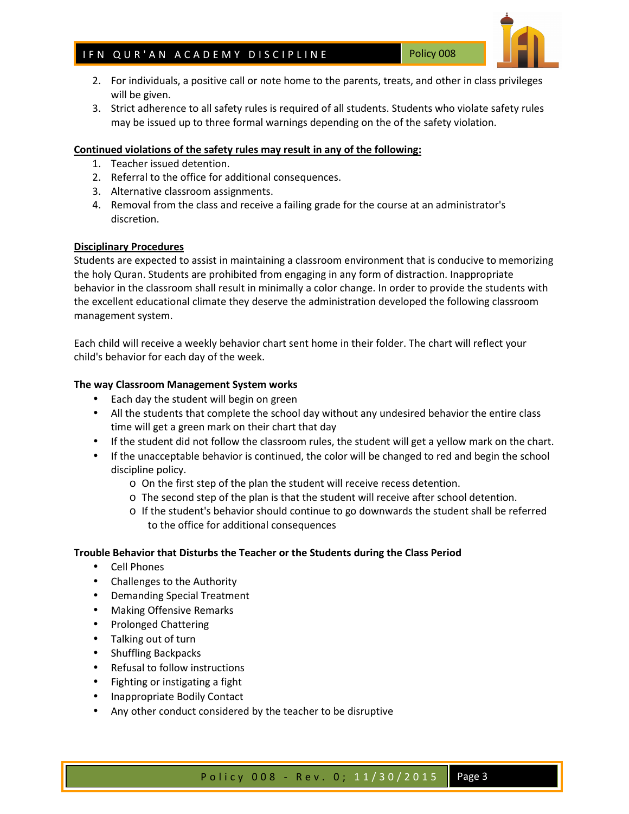- 2. For individuals, a positive call or note home to the parents, treats, and other in class privileges will be given.
- 3. Strict adherence to all safety rules is required of all students. Students who violate safety rules may be issued up to three formal warnings depending on the of the safety violation.

# **Continued violations of the safety rules may result in any of the following:**

- 1. Teacher issued detention.
- 2. Referral to the office for additional consequences.
- 3. Alternative classroom assignments.
- 4. Removal from the class and receive a failing grade for the course at an administrator's discretion.

### **Disciplinary Procedures**

Students are expected to assist in maintaining a classroom environment that is conducive to memorizing the holy Quran. Students are prohibited from engaging in any form of distraction. Inappropriate behavior in the classroom shall result in minimally a color change. In order to provide the students with the excellent educational climate they deserve the administration developed the following classroom management system.

Each child will receive a weekly behavior chart sent home in their folder. The chart will reflect your child's behavior for each day of the week.

### **The way Classroom Management System works**

- Each day the student will begin on green
- All the students that complete the school day without any undesired behavior the entire class time will get a green mark on their chart that day
- If the student did not follow the classroom rules, the student will get a yellow mark on the chart.
- If the unacceptable behavior is continued, the color will be changed to red and begin the school discipline policy.
	- o On the first step of the plan the student will receive recess detention.
	- o The second step of the plan is that the student will receive after school detention.
	- o If the student's behavior should continue to go downwards the student shall be referred to the office for additional consequences

### **Trouble Behavior that Disturbs the Teacher or the Students during the Class Period**

- Cell Phones
- Challenges to the Authority
- Demanding Special Treatment
- Making Offensive Remarks
- Prolonged Chattering
- Talking out of turn
- Shuffling Backpacks
- Refusal to follow instructions
- Fighting or instigating a fight
- Inappropriate Bodily Contact
- Any other conduct considered by the teacher to be disruptive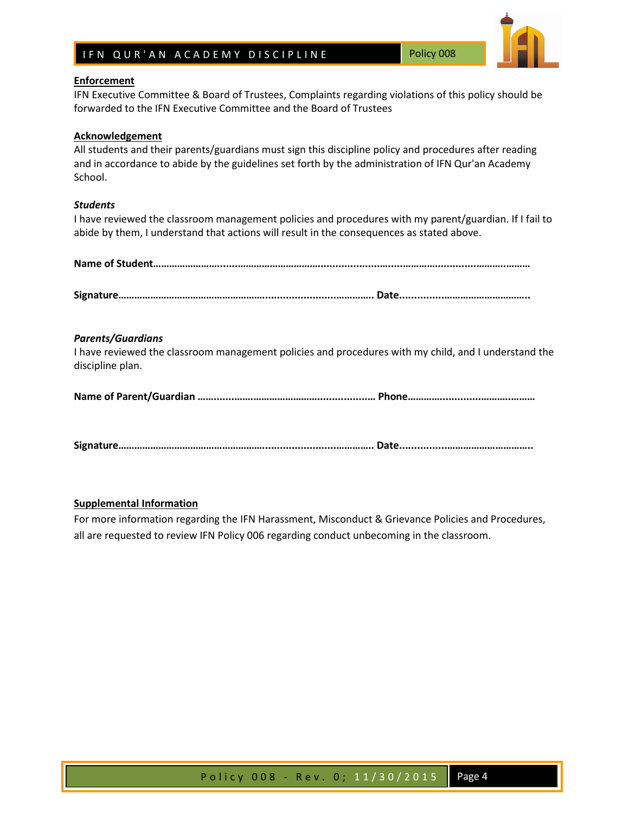# **Enforcement**

IFN Executive Committee & Board of Trustees, Complaints regarding violations of this policy should be forwarded to the IFN Executive Committee and the Board of Trustees

## **Acknowledgement**

All students and their parents/guardians must sign this discipline policy and procedures after reading and in accordance to abide by the guidelines set forth by the administration of IFN Qur'an Academy School.

## *Students*

I have reviewed the classroom management policies and procedures with my parent/guardian. If I fail to abide by them, I understand that actions will result in the consequences as stated above.

| <b>Parents/Guardians</b><br>discipline plan. | I have reviewed the classroom management policies and procedures with my child, and I understand the |  |  |  |  |
|----------------------------------------------|------------------------------------------------------------------------------------------------------|--|--|--|--|
|                                              |                                                                                                      |  |  |  |  |
|                                              |                                                                                                      |  |  |  |  |

# **Supplemental Information**

For more information regarding the IFN Harassment, Misconduct & Grievance Policies and Procedures, all are requested to review IFN Policy 006 regarding conduct unbecoming in the classroom.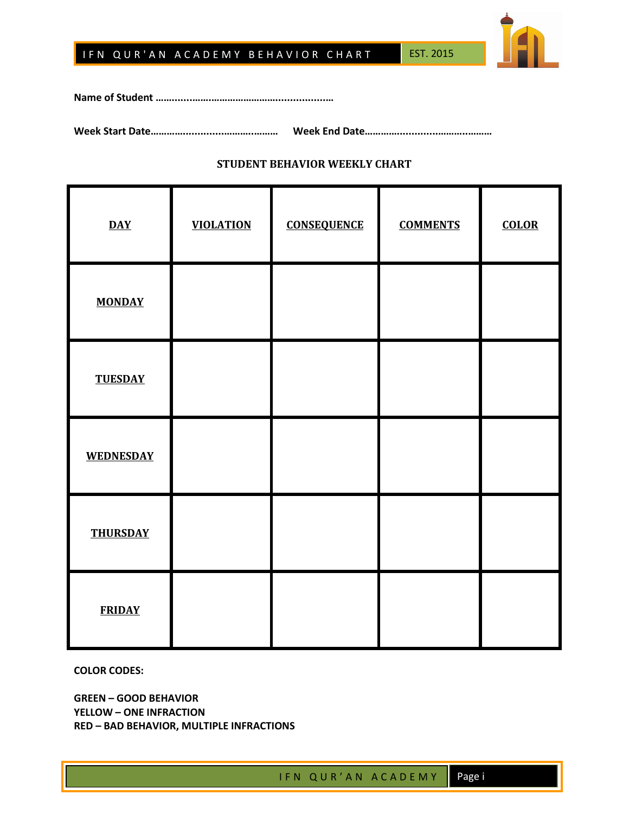



**Name of Student …….......…….…………………….................…** 

**Week Start Date…………..............………..……… Week End Date…………..............………..………** 

# **STUDENT BEHAVIOR WEEKLY CHART**

| $\overline{\text{DAY}}$ | <b>VIOLATION</b> | <b>CONSEQUENCE</b> | <b>COMMENTS</b> | <b>COLOR</b> |
|-------------------------|------------------|--------------------|-----------------|--------------|
| <b>MONDAY</b>           |                  |                    |                 |              |
| <b>TUESDAY</b>          |                  |                    |                 |              |
| <b>WEDNESDAY</b>        |                  |                    |                 |              |
| <b>THURSDAY</b>         |                  |                    |                 |              |
| <b>FRIDAY</b>           |                  |                    |                 |              |

**COLOR CODES:** 

**GREEN – GOOD BEHAVIOR YELLOW – ONE INFRACTION RED – BAD BEHAVIOR, MULTIPLE INFRACTIONS**

I F N Q U R ' A N A C A D E M Y Page i